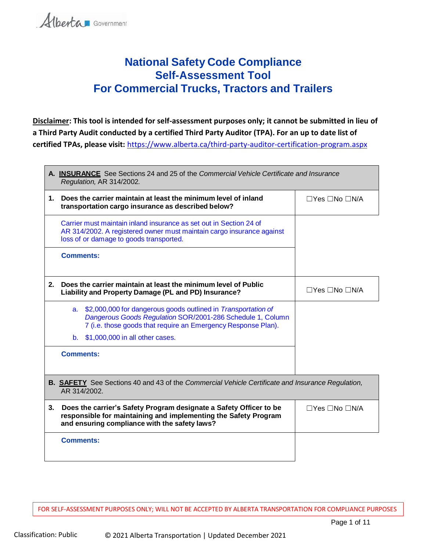Alberta Government

## **National Safety Code Compliance Self-Assessment Tool For Commercial Trucks, Tractors and Trailers**

**Disclaimer: This tool is intended for self-assessment purposes only; it cannot be submitted in lieu of a Third Party Audit conducted by a certified Third Party Auditor (TPA). For an up to date list of certified TPAs, please visit:** <https://www.alberta.ca/third-party-auditor-certification-program.aspx>

|    | A. INSURANCE See Sections 24 and 25 of the Commercial Vehicle Certificate and Insurance<br>Regulation, AR 314/2002.                                                                             |                                  |  |  |
|----|-------------------------------------------------------------------------------------------------------------------------------------------------------------------------------------------------|----------------------------------|--|--|
| 1. | Does the carrier maintain at least the minimum level of inland<br>transportation cargo insurance as described below?                                                                            | $\Box$ Yes $\Box$ No $\Box$ N/A  |  |  |
|    | Carrier must maintain inland insurance as set out in Section 24 of<br>AR 314/2002. A registered owner must maintain cargo insurance against<br>loss of or damage to goods transported.          |                                  |  |  |
|    | <b>Comments:</b>                                                                                                                                                                                |                                  |  |  |
| 2. | Does the carrier maintain at least the minimum level of Public<br>Liability and Property Damage (PL and PD) Insurance?                                                                          | $\Box$ Yes $\Box$ No $\Box$ N/A  |  |  |
|    | a. \$2,000,000 for dangerous goods outlined in Transportation of<br>Dangerous Goods Regulation SOR/2001-286 Schedule 1, Column<br>7 (i.e. those goods that require an Emergency Response Plan). |                                  |  |  |
|    | b. \$1,000,000 in all other cases.                                                                                                                                                              |                                  |  |  |
|    | <b>Comments:</b>                                                                                                                                                                                |                                  |  |  |
|    | B. <b>SAFETY</b> See Sections 40 and 43 of the Commercial Vehicle Certificate and Insurance Regulation,<br>AR 314/2002.                                                                         |                                  |  |  |
| 3. | Does the carrier's Safety Program designate a Safety Officer to be<br>responsible for maintaining and implementing the Safety Program<br>and ensuring compliance with the safety laws?          | $\Box Y$ es $\Box$ No $\Box$ N/A |  |  |
|    | <b>Comments:</b>                                                                                                                                                                                |                                  |  |  |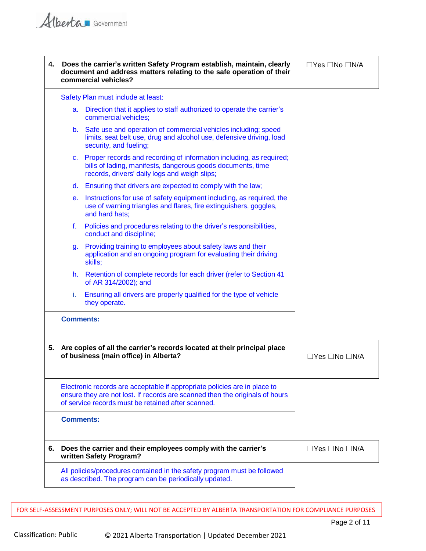| 4. |                                                                                                                                                                                                                 | Does the carrier's written Safety Program establish, maintain, clearly<br>document and address matters relating to the safe operation of their<br>commercial vehicles?                 | $\Box$ Yes $\Box$ No $\Box$ N/A |
|----|-----------------------------------------------------------------------------------------------------------------------------------------------------------------------------------------------------------------|----------------------------------------------------------------------------------------------------------------------------------------------------------------------------------------|---------------------------------|
|    |                                                                                                                                                                                                                 | Safety Plan must include at least:                                                                                                                                                     |                                 |
|    |                                                                                                                                                                                                                 | a. Direction that it applies to staff authorized to operate the carrier's<br>commercial vehicles;                                                                                      |                                 |
|    |                                                                                                                                                                                                                 | b. Safe use and operation of commercial vehicles including; speed<br>limits, seat belt use, drug and alcohol use, defensive driving, load<br>security, and fueling;                    |                                 |
|    |                                                                                                                                                                                                                 | c. Proper records and recording of information including, as required;<br>bills of lading, manifests, dangerous goods documents, time<br>records, drivers' daily logs and weigh slips; |                                 |
|    |                                                                                                                                                                                                                 | d. Ensuring that drivers are expected to comply with the law;                                                                                                                          |                                 |
|    | e.                                                                                                                                                                                                              | Instructions for use of safety equipment including, as required, the<br>use of warning triangles and flares, fire extinguishers, goggles,<br>and hard hats;                            |                                 |
|    | f.                                                                                                                                                                                                              | Policies and procedures relating to the driver's responsibilities,<br>conduct and discipline;                                                                                          |                                 |
|    | g.                                                                                                                                                                                                              | Providing training to employees about safety laws and their<br>application and an ongoing program for evaluating their driving<br>skills;                                              |                                 |
|    |                                                                                                                                                                                                                 | h. Retention of complete records for each driver (refer to Section 41<br>of AR 314/2002); and                                                                                          |                                 |
|    | i.                                                                                                                                                                                                              | Ensuring all drivers are properly qualified for the type of vehicle<br>they operate.                                                                                                   |                                 |
|    | <b>Comments:</b>                                                                                                                                                                                                |                                                                                                                                                                                        |                                 |
| 5. |                                                                                                                                                                                                                 | Are copies of all the carrier's records located at their principal place<br>of business (main office) in Alberta?                                                                      | $\Box$ Yes $\Box$ No $\Box$ N/A |
|    | Electronic records are acceptable if appropriate policies are in place to<br>ensure they are not lost. If records are scanned then the originals of hours<br>of service records must be retained after scanned. |                                                                                                                                                                                        |                                 |
|    | <b>Comments:</b>                                                                                                                                                                                                |                                                                                                                                                                                        |                                 |
| 6. |                                                                                                                                                                                                                 | Does the carrier and their employees comply with the carrier's<br>written Safety Program?                                                                                              | $\Box$ Yes $\Box$ No $\Box$ N/A |
|    | All policies/procedures contained in the safety program must be followed<br>as described. The program can be periodically updated.                                                                              |                                                                                                                                                                                        |                                 |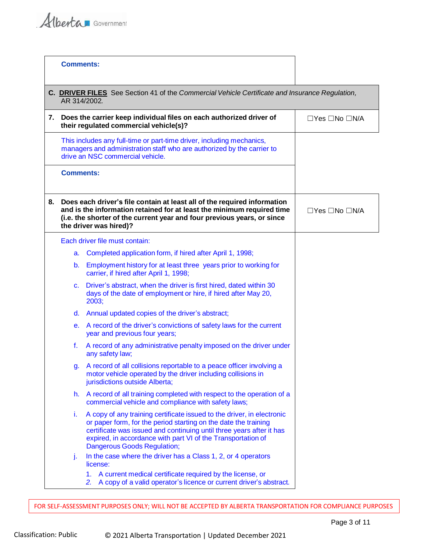Alberta Government

|    | <b>Comments:</b>                                                                                                                                                                    |                                                                                                                                                                                                                                                                                                                         |                                 |
|----|-------------------------------------------------------------------------------------------------------------------------------------------------------------------------------------|-------------------------------------------------------------------------------------------------------------------------------------------------------------------------------------------------------------------------------------------------------------------------------------------------------------------------|---------------------------------|
|    | AR 314/2002.                                                                                                                                                                        | C. DRIVER FILES See Section 41 of the Commercial Vehicle Certificate and Insurance Regulation,                                                                                                                                                                                                                          |                                 |
| 7. |                                                                                                                                                                                     | Does the carrier keep individual files on each authorized driver of<br>their regulated commercial vehicle(s)?                                                                                                                                                                                                           | $\Box$ Yes $\Box$ No $\Box$ N/A |
|    | This includes any full-time or part-time driver, including mechanics,<br>managers and administration staff who are authorized by the carrier to<br>drive an NSC commercial vehicle. |                                                                                                                                                                                                                                                                                                                         |                                 |
|    | <b>Comments:</b>                                                                                                                                                                    |                                                                                                                                                                                                                                                                                                                         |                                 |
| 8. |                                                                                                                                                                                     | Does each driver's file contain at least all of the required information<br>and is the information retained for at least the minimum required time<br>(i.e. the shorter of the current year and four previous years, or since<br>the driver was hired)?                                                                 | $\Box$ Yes $\Box$ No $\Box$ N/A |
|    |                                                                                                                                                                                     | Each driver file must contain:                                                                                                                                                                                                                                                                                          |                                 |
|    |                                                                                                                                                                                     | a. Completed application form, if hired after April 1, 1998;                                                                                                                                                                                                                                                            |                                 |
|    | b.                                                                                                                                                                                  | Employment history for at least three years prior to working for<br>carrier, if hired after April 1, 1998;                                                                                                                                                                                                              |                                 |
|    | C.                                                                                                                                                                                  | Driver's abstract, when the driver is first hired, dated within 30<br>days of the date of employment or hire, if hired after May 20,<br>2003;                                                                                                                                                                           |                                 |
|    |                                                                                                                                                                                     | d. Annual updated copies of the driver's abstract;                                                                                                                                                                                                                                                                      |                                 |
|    |                                                                                                                                                                                     | e. A record of the driver's convictions of safety laws for the current<br>year and previous four years;                                                                                                                                                                                                                 |                                 |
|    | f.                                                                                                                                                                                  | A record of any administrative penalty imposed on the driver under<br>any safety law;                                                                                                                                                                                                                                   |                                 |
|    |                                                                                                                                                                                     | g. A record of all collisions reportable to a peace officer involving a<br>motor vehicle operated by the driver including collisions in<br>jurisdictions outside Alberta;                                                                                                                                               |                                 |
|    |                                                                                                                                                                                     | h. A record of all training completed with respect to the operation of a<br>commercial vehicle and compliance with safety laws;                                                                                                                                                                                         |                                 |
|    | i.                                                                                                                                                                                  | A copy of any training certificate issued to the driver, in electronic<br>or paper form, for the period starting on the date the training<br>certificate was issued and continuing until three years after it has<br>expired, in accordance with part VI of the Transportation of<br><b>Dangerous Goods Regulation;</b> |                                 |
|    | j.                                                                                                                                                                                  | In the case where the driver has a Class 1, 2, or 4 operators<br>license:                                                                                                                                                                                                                                               |                                 |
|    |                                                                                                                                                                                     | 1. A current medical certificate required by the license, or<br>A copy of a valid operator's licence or current driver's abstract.<br>2.                                                                                                                                                                                |                                 |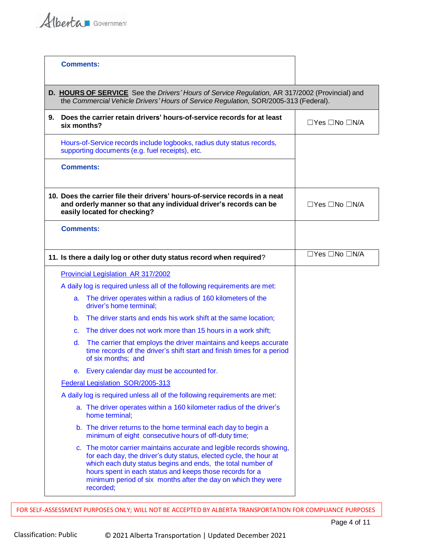Alberta Government

|                                                                           | <b>Comments:</b>                                                                                                                                                                                                                                                                                                                                    |                                 |
|---------------------------------------------------------------------------|-----------------------------------------------------------------------------------------------------------------------------------------------------------------------------------------------------------------------------------------------------------------------------------------------------------------------------------------------------|---------------------------------|
|                                                                           | D. HOURS OF SERVICE See the Drivers' Hours of Service Regulation, AR 317/2002 (Provincial) and<br>the Commercial Vehicle Drivers' Hours of Service Regulation, SOR/2005-313 (Federal).                                                                                                                                                              |                                 |
| 9.                                                                        | Does the carrier retain drivers' hours-of-service records for at least<br>six months?                                                                                                                                                                                                                                                               | $\Box$ Yes $\Box$ No $\Box$ N/A |
|                                                                           | Hours-of-Service records include logbooks, radius duty status records,<br>supporting documents (e.g. fuel receipts), etc.                                                                                                                                                                                                                           |                                 |
|                                                                           | <b>Comments:</b>                                                                                                                                                                                                                                                                                                                                    |                                 |
|                                                                           | 10. Does the carrier file their drivers' hours-of-service records in a neat<br>and orderly manner so that any individual driver's records can be<br>easily located for checking?                                                                                                                                                                    | $\Box$ Yes $\Box$ No $\Box$ N/A |
|                                                                           | <b>Comments:</b>                                                                                                                                                                                                                                                                                                                                    |                                 |
|                                                                           | 11. Is there a daily log or other duty status record when required?                                                                                                                                                                                                                                                                                 | $\Box$ Yes $\Box$ No $\Box$ N/A |
| Provincial Legislation AR 317/2002                                        |                                                                                                                                                                                                                                                                                                                                                     |                                 |
|                                                                           | A daily log is required unless all of the following requirements are met:                                                                                                                                                                                                                                                                           |                                 |
| a.                                                                        | The driver operates within a radius of 160 kilometers of the<br>driver's home terminal;                                                                                                                                                                                                                                                             |                                 |
| b.                                                                        | The driver starts and ends his work shift at the same location;                                                                                                                                                                                                                                                                                     |                                 |
| $\mathbf{C}$ .                                                            | The driver does not work more than 15 hours in a work shift;                                                                                                                                                                                                                                                                                        |                                 |
| $d_{\cdot}$                                                               | The carrier that employs the driver maintains and keeps accurate<br>time records of the driver's shift start and finish times for a period<br>of six months; and                                                                                                                                                                                    |                                 |
|                                                                           | e. Every calendar day must be accounted for.                                                                                                                                                                                                                                                                                                        |                                 |
| Federal Legislation SOR/2005-313                                          |                                                                                                                                                                                                                                                                                                                                                     |                                 |
| A daily log is required unless all of the following requirements are met: |                                                                                                                                                                                                                                                                                                                                                     |                                 |
|                                                                           | a. The driver operates within a 160 kilometer radius of the driver's<br>home terminal;                                                                                                                                                                                                                                                              |                                 |
|                                                                           | b. The driver returns to the home terminal each day to begin a<br>minimum of eight consecutive hours of off-duty time;                                                                                                                                                                                                                              |                                 |
|                                                                           | c. The motor carrier maintains accurate and legible records showing,<br>for each day, the driver's duty status, elected cycle, the hour at<br>which each duty status begins and ends, the total number of<br>hours spent in each status and keeps those records for a<br>minimum period of six months after the day on which they were<br>recorded; |                                 |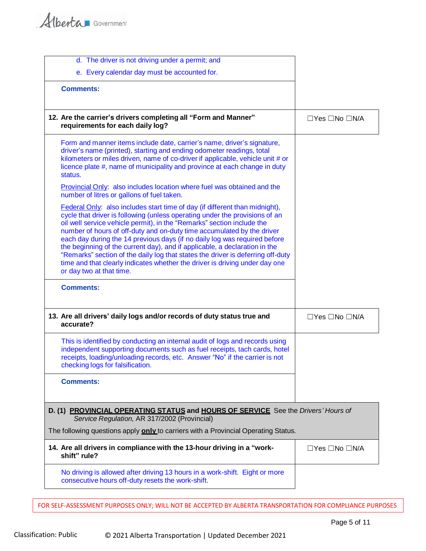| d. The driver is not driving under a permit; and                                                                                                                                                                                                                                                                                                                                                                                                                                                                                                                                                                                                                        |                                 |
|-------------------------------------------------------------------------------------------------------------------------------------------------------------------------------------------------------------------------------------------------------------------------------------------------------------------------------------------------------------------------------------------------------------------------------------------------------------------------------------------------------------------------------------------------------------------------------------------------------------------------------------------------------------------------|---------------------------------|
| e. Every calendar day must be accounted for.                                                                                                                                                                                                                                                                                                                                                                                                                                                                                                                                                                                                                            |                                 |
| <b>Comments:</b>                                                                                                                                                                                                                                                                                                                                                                                                                                                                                                                                                                                                                                                        |                                 |
| 12. Are the carrier's drivers completing all "Form and Manner"<br>requirements for each daily log?                                                                                                                                                                                                                                                                                                                                                                                                                                                                                                                                                                      | $\Box$ Yes $\Box$ No $\Box$ N/A |
| Form and manner items include date, carrier's name, driver's signature,<br>driver's name (printed), starting and ending odometer readings, total<br>kilometers or miles driven, name of co-driver if applicable, vehicle unit # or<br>licence plate #, name of municipality and province at each change in duty<br>status.                                                                                                                                                                                                                                                                                                                                              |                                 |
| Provincial Only: also includes location where fuel was obtained and the<br>number of litres or gallons of fuel taken.                                                                                                                                                                                                                                                                                                                                                                                                                                                                                                                                                   |                                 |
| Federal Only: also includes start time of day (if different than midnight),<br>cycle that driver is following (unless operating under the provisions of an<br>oil well service vehicle permit), in the "Remarks" section include the<br>number of hours of off-duty and on-duty time accumulated by the driver<br>each day during the 14 previous days (if no daily log was required before<br>the beginning of the current day), and if applicable, a declaration in the<br>"Remarks" section of the daily log that states the driver is deferring off-duty<br>time and that clearly indicates whether the driver is driving under day one<br>or day two at that time. |                                 |
| <b>Comments:</b>                                                                                                                                                                                                                                                                                                                                                                                                                                                                                                                                                                                                                                                        |                                 |
| 13. Are all drivers' daily logs and/or records of duty status true and<br>accurate?                                                                                                                                                                                                                                                                                                                                                                                                                                                                                                                                                                                     | □Yes □No □N/A                   |
| This is identified by conducting an internal audit of logs and records using<br>independent supporting documents such as fuel receipts, tach cards, hotel<br>receipts, loading/unloading records, etc. Answer "No" if the carrier is not<br>checking logs for falsification.                                                                                                                                                                                                                                                                                                                                                                                            |                                 |
| <b>Comments:</b>                                                                                                                                                                                                                                                                                                                                                                                                                                                                                                                                                                                                                                                        |                                 |
| D. (1) PROVINCIAL OPERATING STATUS and HOURS OF SERVICE See the Drivers' Hours of<br>Service Regulation, AR 317/2002 (Provincial)                                                                                                                                                                                                                                                                                                                                                                                                                                                                                                                                       |                                 |
| The following questions apply <b>only</b> to carriers with a Provincial Operating Status.                                                                                                                                                                                                                                                                                                                                                                                                                                                                                                                                                                               |                                 |
| 14. Are all drivers in compliance with the 13-hour driving in a "work-<br>shift" rule?                                                                                                                                                                                                                                                                                                                                                                                                                                                                                                                                                                                  | $\Box$ Yes $\Box$ No $\Box$ N/A |
| No driving is allowed after driving 13 hours in a work-shift. Eight or more<br>consecutive hours off-duty resets the work-shift.                                                                                                                                                                                                                                                                                                                                                                                                                                                                                                                                        |                                 |
|                                                                                                                                                                                                                                                                                                                                                                                                                                                                                                                                                                                                                                                                         |                                 |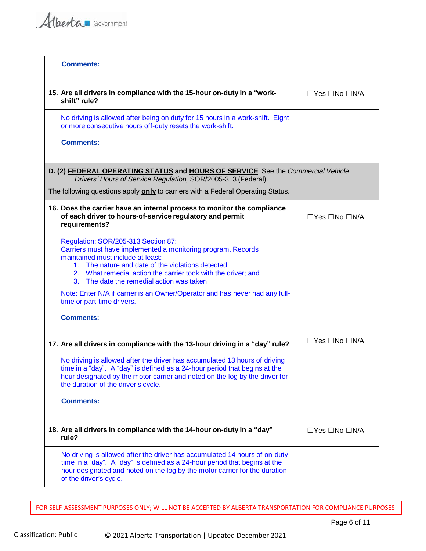| <b>Comments:</b>                                                                                                                                                                                                                                                                                             |                                 |
|--------------------------------------------------------------------------------------------------------------------------------------------------------------------------------------------------------------------------------------------------------------------------------------------------------------|---------------------------------|
| 15. Are all drivers in compliance with the 15-hour on-duty in a "work-<br>shift" rule?                                                                                                                                                                                                                       | $\Box$ Yes $\Box$ No $\Box$ N/A |
| No driving is allowed after being on duty for 15 hours in a work-shift. Eight<br>or more consecutive hours off-duty resets the work-shift.                                                                                                                                                                   |                                 |
| <b>Comments:</b>                                                                                                                                                                                                                                                                                             |                                 |
| D. (2) <b>FEDERAL OPERATING STATUS and HOURS OF SERVICE</b> See the Commercial Vehicle<br>Drivers' Hours of Service Regulation, SOR/2005-313 (Federal).                                                                                                                                                      |                                 |
| The following questions apply only to carriers with a Federal Operating Status.                                                                                                                                                                                                                              |                                 |
| 16. Does the carrier have an internal process to monitor the compliance<br>of each driver to hours-of-service regulatory and permit<br>requirements?                                                                                                                                                         | $\Box$ Yes $\Box$ No $\Box$ N/A |
| Regulation: SOR/205-313 Section 87:<br>Carriers must have implemented a monitoring program. Records<br>maintained must include at least:<br>1. The nature and date of the violations detected;<br>2. What remedial action the carrier took with the driver; and<br>3. The date the remedial action was taken |                                 |
| Note: Enter N/A if carrier is an Owner/Operator and has never had any full-<br>time or part-time drivers.                                                                                                                                                                                                    |                                 |
| <b>Comments:</b>                                                                                                                                                                                                                                                                                             |                                 |
| 17. Are all drivers in compliance with the 13-hour driving in a "day" rule?                                                                                                                                                                                                                                  | $\Box$ Yes $\Box$ No $\Box$ N/A |
| No driving is allowed after the driver has accumulated 13 hours of driving<br>time in a "day". A "day" is defined as a 24-hour period that begins at the<br>hour designated by the motor carrier and noted on the log by the driver for<br>the duration of the driver's cycle.                               |                                 |
| <b>Comments:</b>                                                                                                                                                                                                                                                                                             |                                 |
| 18. Are all drivers in compliance with the 14-hour on-duty in a "day"<br>rule?                                                                                                                                                                                                                               | $\Box$ Yes $\Box$ No $\Box$ N/A |
| No driving is allowed after the driver has accumulated 14 hours of on-duty<br>time in a "day". A "day" is defined as a 24-hour period that begins at the<br>hour designated and noted on the log by the motor carrier for the duration<br>of the driver's cycle.                                             |                                 |
|                                                                                                                                                                                                                                                                                                              |                                 |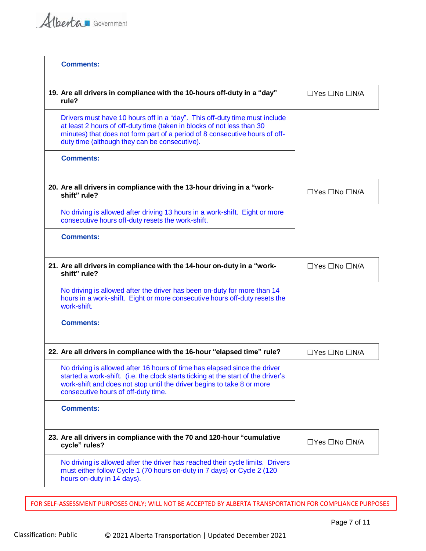| <b>Comments:</b>                                                                                                                                                                                                                                                                     |                                 |
|--------------------------------------------------------------------------------------------------------------------------------------------------------------------------------------------------------------------------------------------------------------------------------------|---------------------------------|
| 19. Are all drivers in compliance with the 10-hours off-duty in a "day"<br>rule?                                                                                                                                                                                                     | $\Box$ Yes $\Box$ No $\Box$ N/A |
| Drivers must have 10 hours off in a "day". This off-duty time must include<br>at least 2 hours of off-duty time (taken in blocks of not less than 30<br>minutes) that does not form part of a period of 8 consecutive hours of off-<br>duty time (although they can be consecutive). |                                 |
| <b>Comments:</b>                                                                                                                                                                                                                                                                     |                                 |
| 20. Are all drivers in compliance with the 13-hour driving in a "work-<br>shift" rule?                                                                                                                                                                                               | $\Box$ Yes $\Box$ No $\Box$ N/A |
| No driving is allowed after driving 13 hours in a work-shift. Eight or more<br>consecutive hours off-duty resets the work-shift.                                                                                                                                                     |                                 |
| <b>Comments:</b>                                                                                                                                                                                                                                                                     |                                 |
| 21. Are all drivers in compliance with the 14-hour on-duty in a "work-<br>shift" rule?                                                                                                                                                                                               | $\Box$ Yes $\Box$ No $\Box$ N/A |
| No driving is allowed after the driver has been on-duty for more than 14<br>hours in a work-shift. Eight or more consecutive hours off-duty resets the<br>work-shift.                                                                                                                |                                 |
| <b>Comments:</b>                                                                                                                                                                                                                                                                     |                                 |
| 22. Are all drivers in compliance with the 16-hour "elapsed time" rule?                                                                                                                                                                                                              | $\Box$ Yes $\Box$ No $\Box$ N/A |
| No driving is allowed after 16 hours of time has elapsed since the driver<br>started a work-shift. (i.e. the clock starts ticking at the start of the driver's<br>work-shift and does not stop until the driver begins to take 8 or more<br>consecutive hours of off-duty time.      |                                 |
| <b>Comments:</b>                                                                                                                                                                                                                                                                     |                                 |
| 23. Are all drivers in compliance with the 70 and 120-hour "cumulative<br>cycle" rules?                                                                                                                                                                                              | $\Box$ Yes $\Box$ No $\Box$ N/A |
| No driving is allowed after the driver has reached their cycle limits. Drivers<br>must either follow Cycle 1 (70 hours on-duty in 7 days) or Cycle 2 (120<br>hours on-duty in 14 days).                                                                                              |                                 |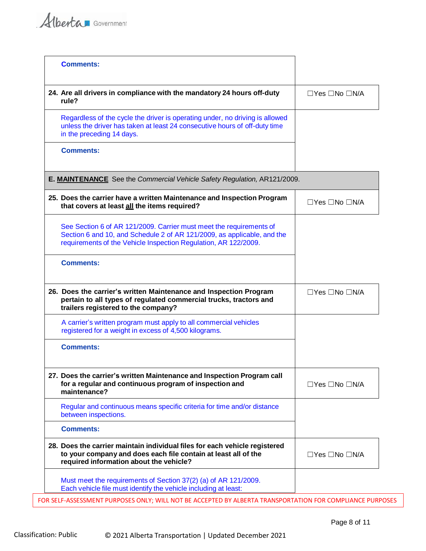| <b>Comments:</b>                                                                                                                                                                                                  |                                  |
|-------------------------------------------------------------------------------------------------------------------------------------------------------------------------------------------------------------------|----------------------------------|
| 24. Are all drivers in compliance with the mandatory 24 hours off-duty<br>rule?                                                                                                                                   | $\Box$ Yes $\Box$ No $\Box$ N/A  |
| Regardless of the cycle the driver is operating under, no driving is allowed<br>unless the driver has taken at least 24 consecutive hours of off-duty time<br>in the preceding 14 days.                           |                                  |
| <b>Comments:</b>                                                                                                                                                                                                  |                                  |
| <b>E. MAINTENANCE</b> See the Commercial Vehicle Safety Regulation, AR121/2009.                                                                                                                                   |                                  |
| 25. Does the carrier have a written Maintenance and Inspection Program<br>that covers at least all the items required?                                                                                            | $\Box$ Yes $\Box$ No $\Box$ N/A  |
| See Section 6 of AR 121/2009. Carrier must meet the requirements of<br>Section 6 and 10, and Schedule 2 of AR 121/2009, as applicable, and the<br>requirements of the Vehicle Inspection Regulation, AR 122/2009. |                                  |
| <b>Comments:</b>                                                                                                                                                                                                  |                                  |
| 26. Does the carrier's written Maintenance and Inspection Program<br>pertain to all types of regulated commercial trucks, tractors and<br>trailers registered to the company?                                     | $\Box Y$ es $\Box$ No $\Box N/A$ |
| A carrier's written program must apply to all commercial vehicles<br>registered for a weight in excess of 4,500 kilograms.                                                                                        |                                  |
| <b>Comments:</b>                                                                                                                                                                                                  |                                  |
| 27. Does the carrier's written Maintenance and Inspection Program call<br>for a regular and continuous program of inspection and<br>maintenance?                                                                  | $\Box$ Yes $\Box$ No $\Box$ N/A  |
| Regular and continuous means specific criteria for time and/or distance<br>between inspections.                                                                                                                   |                                  |
| <b>Comments:</b>                                                                                                                                                                                                  |                                  |
| 28. Does the carrier maintain individual files for each vehicle registered<br>to your company and does each file contain at least all of the<br>required information about the vehicle?                           | $\Box$ Yes $\Box$ No $\Box$ N/A  |
| Must meet the requirements of Section 37(2) (a) of AR 121/2009.<br>Each vehicle file must identify the vehicle including at least:                                                                                |                                  |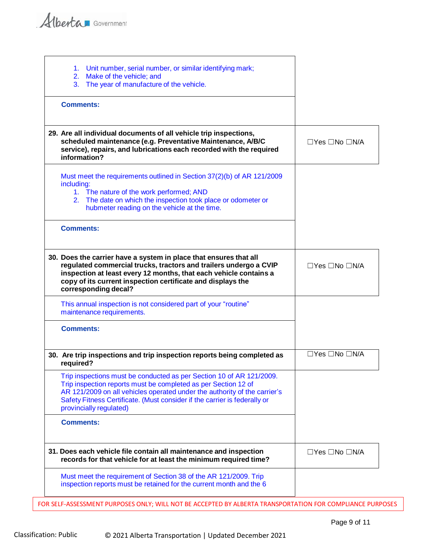| 1. Unit number, serial number, or similar identifying mark;<br>2. Make of the vehicle; and<br>3. The year of manufacture of the vehicle.                                                                                                                                                                                    |                                  |
|-----------------------------------------------------------------------------------------------------------------------------------------------------------------------------------------------------------------------------------------------------------------------------------------------------------------------------|----------------------------------|
| <b>Comments:</b>                                                                                                                                                                                                                                                                                                            |                                  |
| 29. Are all individual documents of all vehicle trip inspections,<br>scheduled maintenance (e.g. Preventative Maintenance, A/B/C<br>service), repairs, and lubrications each recorded with the required<br>information?                                                                                                     | $\Box Y$ es $\Box$ No $\Box N/A$ |
| Must meet the requirements outlined in Section 37(2)(b) of AR 121/2009<br>including:<br>1. The nature of the work performed; AND<br>2. The date on which the inspection took place or odometer or<br>hubmeter reading on the vehicle at the time.                                                                           |                                  |
| <b>Comments:</b>                                                                                                                                                                                                                                                                                                            |                                  |
| 30. Does the carrier have a system in place that ensures that all<br>regulated commercial trucks, tractors and trailers undergo a CVIP<br>inspection at least every 12 months, that each vehicle contains a<br>copy of its current inspection certificate and displays the<br>corresponding decal?                          | $\Box Y$ es $\Box$ No $\Box N/A$ |
| This annual inspection is not considered part of your "routine"<br>maintenance requirements.                                                                                                                                                                                                                                |                                  |
| <b>Comments:</b>                                                                                                                                                                                                                                                                                                            |                                  |
| 30. Are trip inspections and trip inspection reports being completed as<br>required?                                                                                                                                                                                                                                        | $\Box$ Yes $\Box$ No $\Box$ N/A  |
| Trip inspections must be conducted as per Section 10 of AR 121/2009.<br>Trip inspection reports must be completed as per Section 12 of<br>AR 121/2009 on all vehicles operated under the authority of the carrier's<br>Safety Fitness Certificate. (Must consider if the carrier is federally or<br>provincially regulated) |                                  |
| <b>Comments:</b>                                                                                                                                                                                                                                                                                                            |                                  |
| 31. Does each vehicle file contain all maintenance and inspection<br>records for that vehicle for at least the minimum required time?                                                                                                                                                                                       | $\Box$ Yes $\Box$ No $\Box$ N/A  |
| Must meet the requirement of Section 38 of the AR 121/2009. Trip<br>inspection reports must be retained for the current month and the 6                                                                                                                                                                                     |                                  |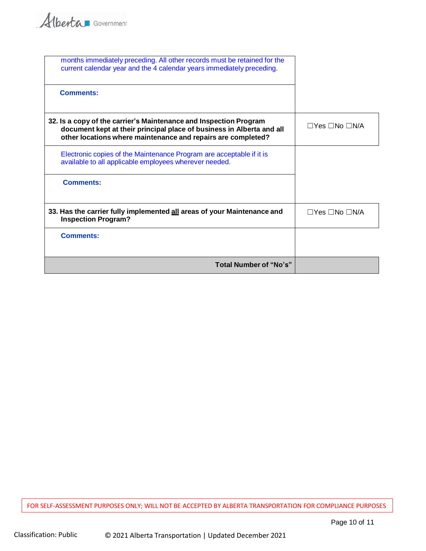Alberta Government

| months immediately preceding. All other records must be retained for the<br>current calendar year and the 4 calendar years immediately preceding.                                                          |                                  |
|------------------------------------------------------------------------------------------------------------------------------------------------------------------------------------------------------------|----------------------------------|
| <b>Comments:</b>                                                                                                                                                                                           |                                  |
| 32. Is a copy of the carrier's Maintenance and Inspection Program<br>document kept at their principal place of business in Alberta and all<br>other locations where maintenance and repairs are completed? | $\Box Y$ es $\Box$ No $\Box N/A$ |
| Electronic copies of the Maintenance Program are acceptable if it is<br>available to all applicable employees wherever needed.                                                                             |                                  |
| <b>Comments:</b>                                                                                                                                                                                           |                                  |
| 33. Has the carrier fully implemented all areas of your Maintenance and<br><b>Inspection Program?</b>                                                                                                      | $\Box Y$ es $\Box$ No $\Box N/A$ |
| <b>Comments:</b>                                                                                                                                                                                           |                                  |
| Total Number of "No's"                                                                                                                                                                                     |                                  |